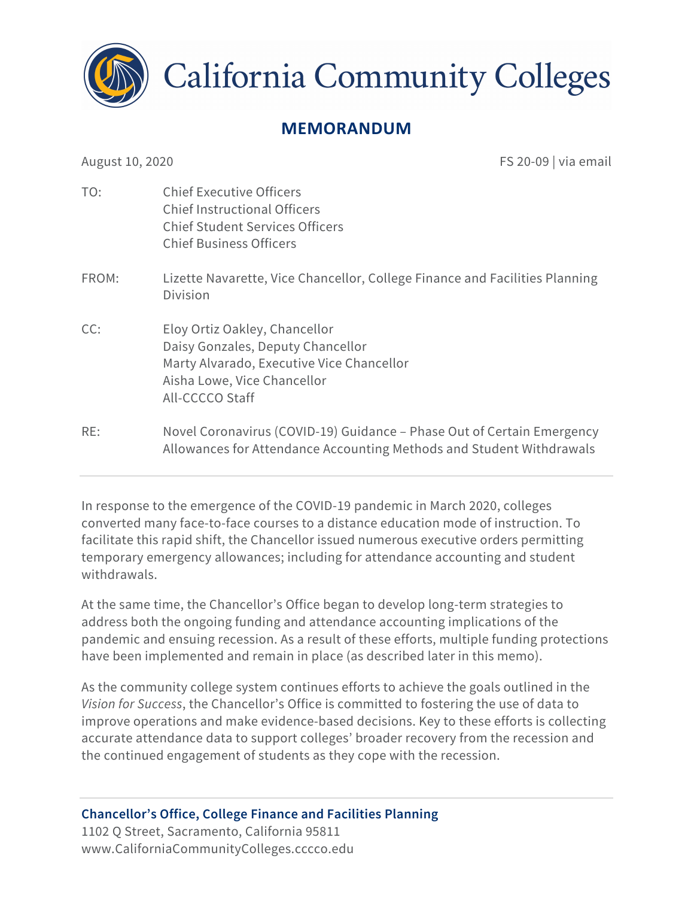

**California Community Colleges** 

# **MEMORANDUM**

August 10, 2020 **FS 20-09** | via email

| TO:   | <b>Chief Executive Officers</b><br><b>Chief Instructional Officers</b><br><b>Chief Student Services Officers</b><br><b>Chief Business Officers</b>                |
|-------|-------------------------------------------------------------------------------------------------------------------------------------------------------------------|
| FROM: | Lizette Navarette, Vice Chancellor, College Finance and Facilities Planning<br><b>Division</b>                                                                    |
| CC:   | Eloy Ortiz Oakley, Chancellor<br>Daisy Gonzales, Deputy Chancellor<br>Marty Alvarado, Executive Vice Chancellor<br>Aisha Lowe, Vice Chancellor<br>All-CCCCO Staff |
| RE:   | Novel Coronavirus (COVID-19) Guidance – Phase Out of Certain Emergency<br>Allowances for Attendance Accounting Methods and Student Withdrawals                    |

In response to the emergence of the COVID-19 pandemic in March 2020, colleges converted many face-to-face courses to a distance education mode of instruction. To facilitate this rapid shift, the Chancellor issued numerous executive orders permitting temporary emergency allowances; including for attendance accounting and student withdrawals.

At the same time, the Chancellor's Office began to develop long-term strategies to address both the ongoing funding and attendance accounting implications of the pandemic and ensuing recession. As a result of these efforts, multiple funding protections have been implemented and remain in place (as described later in this memo).

As the community college system continues efforts to achieve the goals outlined in the *Vision for Success*, the Chancellor's Office is committed to fostering the use of data to improve operations and make evidence-based decisions. Key to these efforts is collecting accurate attendance data to support colleges' broader recovery from the recession and the continued engagement of students as they cope with the recession.

**Chancellor's Office, College Finance and Facilities Planning** 1102 Q Street, Sacramento, California 95811 www.CaliforniaCommunityColleges.cccco.edu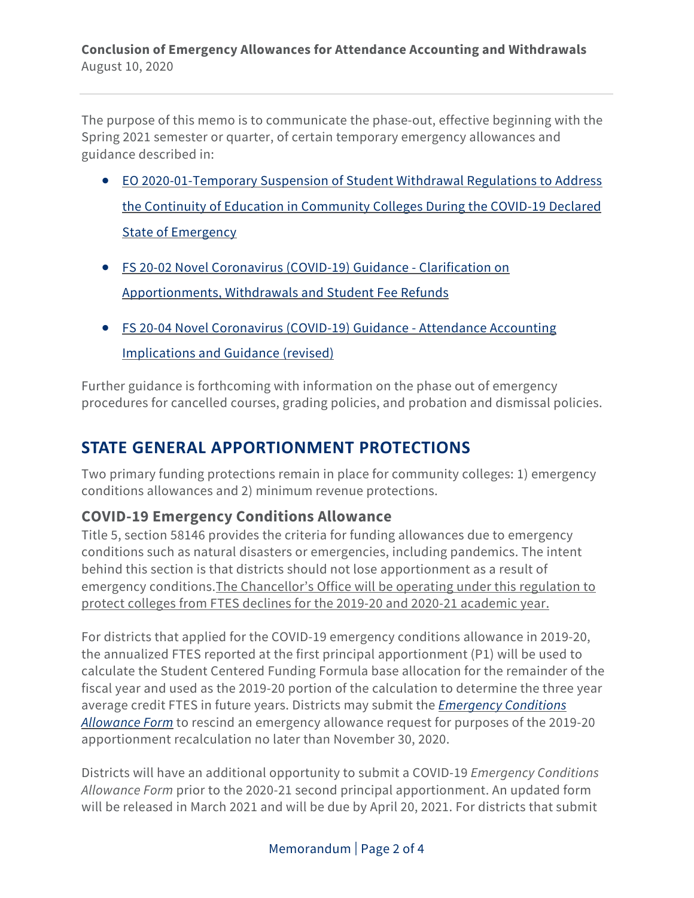The purpose of this memo is to communicate the phase-out, effective beginning with the Spring 2021 semester or quarter, of certain temporary emergency allowances and guidance described in:

- EO 2020-01-Temporary Suspension of Student Withdrawal Regulations to Address the Continuity of Education in Community Colleges During the COVID-19 Declared State of Emergency
- FS 20-02 Novel Coronavirus (COVID-19) Guidance Clarification on Apportionments, Withdrawals and Student Fee Refunds
- FS 20-04 Novel Coronavirus (COVID-19) Guidance Attendance Accounting Implications and Guidance (revised)

Further guidance is forthcoming with information on the phase out of emergency procedures for cancelled courses, grading policies, and probation and dismissal policies.

# **STATE GENERAL APPORTIONMENT PROTECTIONS**

Two primary funding protections remain in place for community colleges: 1) emergency conditions allowances and 2) minimum revenue protections.

#### **COVID-19 Emergency Conditions Allowance**

Title 5, section 58146 provides the criteria for funding allowances due to emergency conditions such as natural disasters or emergencies, including pandemics. The intent behind this section is that districts should not lose apportionment as a result of emergency conditions.The Chancellor's Office will be operating under this regulation to protect colleges from FTES declines for the 2019-20 and 2020-21 academic year.

For districts that applied for the COVID-19 emergency conditions allowance in 2019-20, the annualized FTES reported at the first principal apportionment (P1) will be used to calculate the Student Centered Funding Formula base allocation for the remainder of the fiscal year and used as the 2019-20 portion of the calculation to determine the three year average credit FTES in future years. Districts may submit the *Emergency Conditions Allowance Form* to rescind an emergency allowance request for purposes of the 2019-20 apportionment recalculation no later than November 30, 2020.

Districts will have an additional opportunity to submit a COVID-19 *Emergency Conditions Allowance Form* prior to the 2020-21 second principal apportionment. An updated form will be released in March 2021 and will be due by April 20, 2021. For districts that submit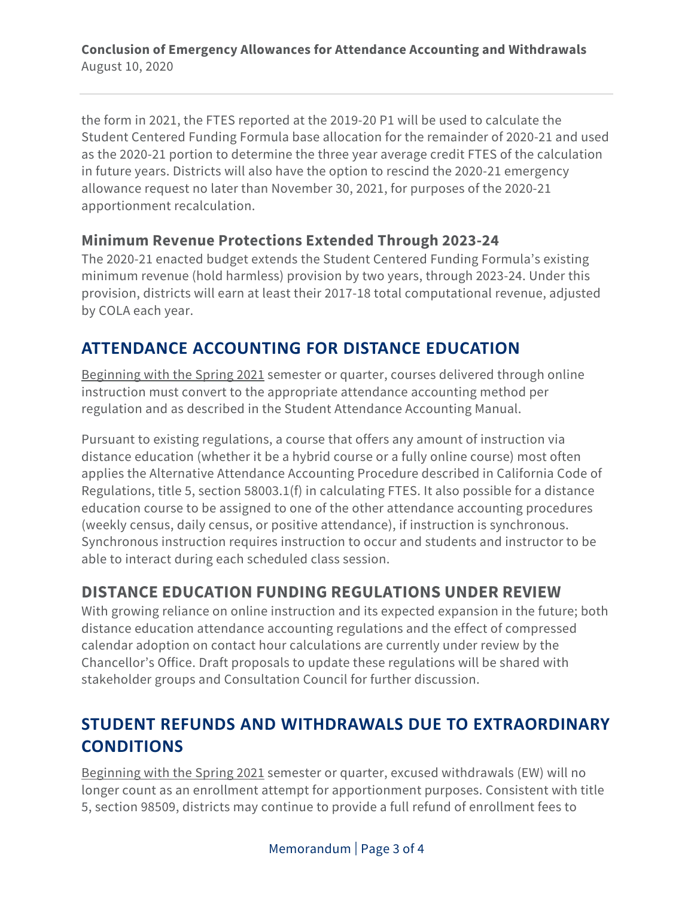the form in 2021, the FTES reported at the 2019-20 P1 will be used to calculate the Student Centered Funding Formula base allocation for the remainder of 2020-21 and used as the 2020-21 portion to determine the three year average credit FTES of the calculation in future years. Districts will also have the option to rescind the 2020-21 emergency allowance request no later than November 30, 2021, for purposes of the 2020-21 apportionment recalculation.

#### **Minimum Revenue Protections Extended Through 2023-24**

The 2020-21 enacted budget extends the Student Centered Funding Formula's existing minimum revenue (hold harmless) provision by two years, through 2023-24. Under this provision, districts will earn at least their 2017-18 total computational revenue, adjusted by COLA each year.

## **ATTENDANCE ACCOUNTING FOR DISTANCE EDUCATION**

Beginning with the Spring 2021 semester or quarter, courses delivered through online instruction must convert to the appropriate attendance accounting method per regulation and as described in the Student Attendance Accounting Manual.

Pursuant to existing regulations, a course that offers any amount of instruction via distance education (whether it be a hybrid course or a fully online course) most often applies the Alternative Attendance Accounting Procedure described in California Code of Regulations, title 5, section 58003.1(f) in calculating FTES. It also possible for a distance education course to be assigned to one of the other attendance accounting procedures (weekly census, daily census, or positive attendance), if instruction is synchronous. Synchronous instruction requires instruction to occur and students and instructor to be able to interact during each scheduled class session.

#### **DISTANCE EDUCATION FUNDING REGULATIONS UNDER REVIEW**

With growing reliance on online instruction and its expected expansion in the future; both distance education attendance accounting regulations and the effect of compressed calendar adoption on contact hour calculations are currently under review by the Chancellor's Office. Draft proposals to update these regulations will be shared with stakeholder groups and Consultation Council for further discussion.

# **STUDENT REFUNDS AND WITHDRAWALS DUE TO EXTRAORDINARY CONDITIONS**

Beginning with the Spring 2021 semester or quarter, excused withdrawals (EW) will no longer count as an enrollment attempt for apportionment purposes. Consistent with title 5, section 98509, districts may continue to provide a full refund of enrollment fees to